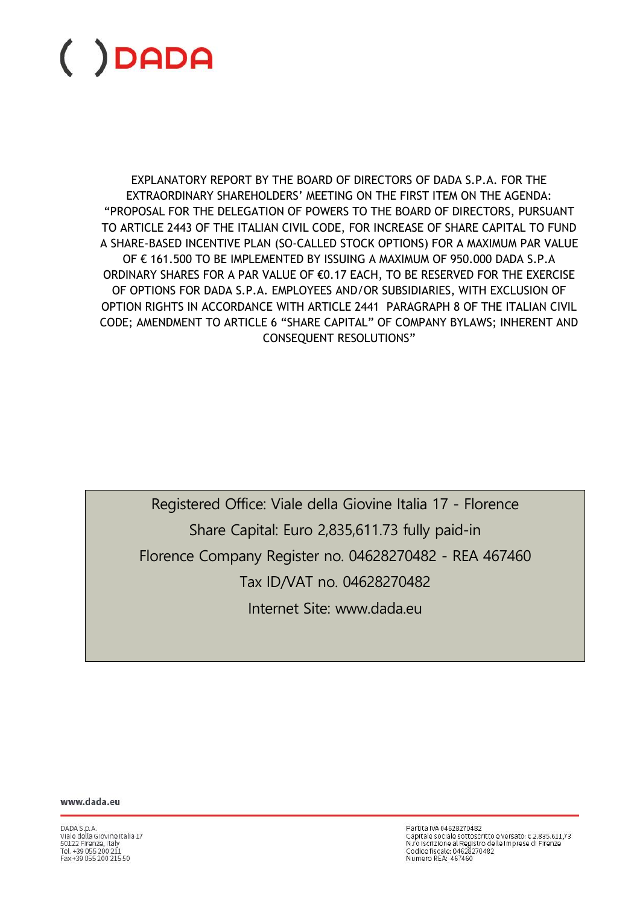EXPLANATORY REPORT BY THE BOARD OF DIRECTORS OF DADA S.P.A. FOR THE EXTRAORDINARY SHAREHOLDERS' MEETING ON THE FIRST ITEM ON THE AGENDA: "PROPOSAL FOR THE DELEGATION OF POWERS TO THE BOARD OF DIRECTORS, PURSUANT TO ARTICLE 2443 OF THE ITALIAN CIVIL CODE, FOR INCREASE OF SHARE CAPITAL TO FUND A SHARE-BASED INCENTIVE PLAN (SO-CALLED STOCK OPTIONS) FOR A MAXIMUM PAR VALUE OF € 161.500 TO BE IMPLEMENTED BY ISSUING A MAXIMUM OF 950.000 DADA S.P.A ORDINARY SHARES FOR A PAR VALUE OF €0.17 EACH, TO BE RESERVED FOR THE EXERCISE OF OPTIONS FOR DADA S.P.A. EMPLOYEES AND/OR SUBSIDIARIES, WITH EXCLUSION OF OPTION RIGHTS IN ACCORDANCE WITH ARTICLE 2441 PARAGRAPH 8 OF THE ITALIAN CIVIL CODE; AMENDMENT TO ARTICLE 6 "SHARE CAPITAL" OF COMPANY BYLAWS; INHERENT AND CONSEQUENT RESOLUTIONS"

Registered Office: Viale della Giovine Italia 17 - Florence Share Capital: Euro 2,835,611.73 fully paid-in Florence Company Register no. 04628270482 - REA 467460 Tax ID/VAT no. 04628270482 Internet Site: www.dada.eu

www.dada.eu

DADA S.p.A.<br>Viale della Giovine Italia 17 50122 Firenze, Italy<br>Tel. +39 055 200 211 Eax +39.055.200.215.50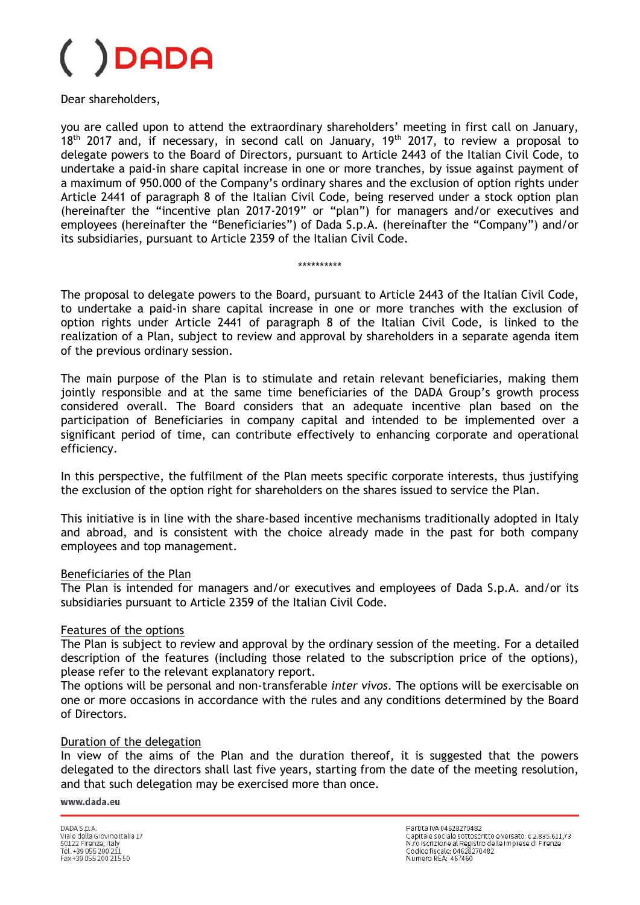### **DADA**

Dear shareholders,

you are called upon to attend the extraordinary shareholders' meeting in first call on January,  $18<sup>th</sup>$  2017 and, if necessary, in second call on January,  $19<sup>th</sup>$  2017, to review a proposal to delegate powers to the Board of Directors, pursuant to Article 2443 of the Italian Civil Code, to undertake a paid-in share capital increase in one or more tranches, by issue against payment of a maximum of 950.000 of the Company's ordinary shares and the exclusion of option rights under Article 2441 of paragraph 8 of the Italian Civil Code, being reserved under a stock option plan (hereinafter the "incentive plan 2017-2019" or "plan") for managers and/or executives and employees (hereinafter the "Beneficiaries") of Dada S.p.A. (hereinafter the "Company") and/or its subsidiaries, pursuant to Article 2359 of the Italian Civil Code.

\*\*\*\*\*\*\*\*\*\*

The proposal to delegate powers to the Board, pursuant to Article 2443 of the Italian Civil Code, to undertake a paid-in share capital increase in one or more tranches with the exclusion of option rights under Article 2441 of paragraph 8 of the Italian Civil Code, is linked to the realization of a Plan, subject to review and approval by shareholders in a separate agenda item of the previous ordinary session.

The main purpose of the Plan is to stimulate and retain relevant beneficiaries, making them jointly responsible and at the same time beneficiaries of the DADA Group's growth process considered overall. The Board considers that an adequate incentive plan based on the participation of Beneficiaries in company capital and intended to be implemented over a significant period of time, can contribute effectively to enhancing corporate and operational efficiency.

In this perspective, the fulfilment of the Plan meets specific corporate interests, thus justifying the exclusion of the option right for shareholders on the shares issued to service the Plan.

This initiative is in line with the share-based incentive mechanisms traditionally adopted in Italy and abroad, and is consistent with the choice already made in the past for both company employees and top management.

#### Beneficiaries of the Plan

The Plan is intended for managers and/or executives and employees of Dada S.p.A. and/or its subsidiaries pursuant to Article 2359 of the Italian Civil Code.

#### Features of the options

The Plan is subject to review and approval by the ordinary session of the meeting. For a detailed description of the features (including those related to the subscription price of the options), please refer to the relevant explanatory report.

The options will be personal and non-transferable *inter vivos*. The options will be exercisable on one or more occasions in accordance with the rules and any conditions determined by the Board of Directors.

#### Duration of the delegation

In view of the aims of the Plan and the duration thereof, it is suggested that the powers delegated to the directors shall last five years, starting from the date of the meeting resolution, and that such delegation may be exercised more than once.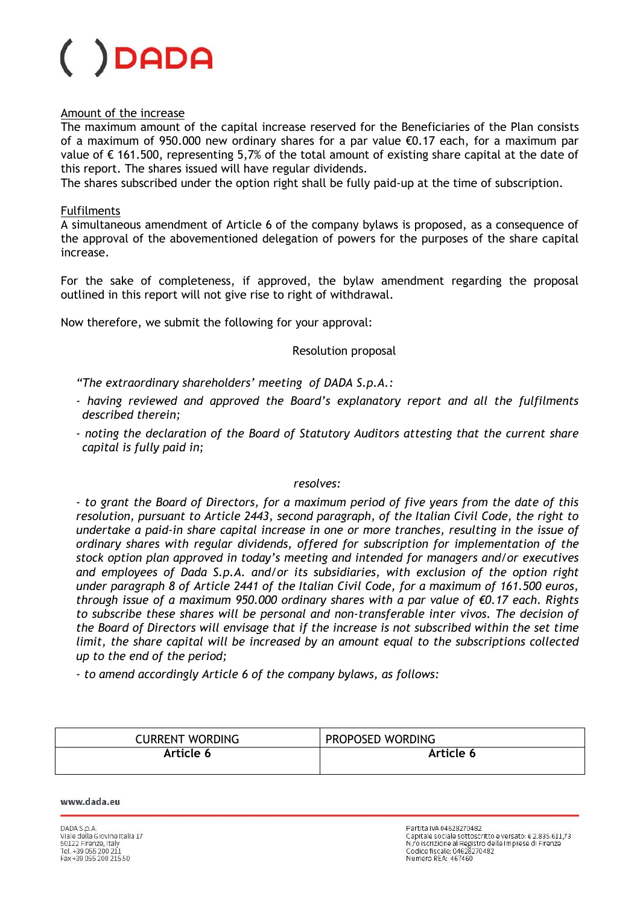#### Amount of the increase

The maximum amount of the capital increase reserved for the Beneficiaries of the Plan consists of a maximum of 950.000 new ordinary shares for a par value €0.17 each, for a maximum par value of € 161.500, representing 5,7% of the total amount of existing share capital at the date of this report. The shares issued will have regular dividends.

The shares subscribed under the option right shall be fully paid-up at the time of subscription.

#### Fulfilments

A simultaneous amendment of Article 6 of the company bylaws is proposed, as a consequence of the approval of the abovementioned delegation of powers for the purposes of the share capital increase.

For the sake of completeness, if approved, the bylaw amendment regarding the proposal outlined in this report will not give rise to right of withdrawal.

Now therefore, we submit the following for your approval:

#### Resolution proposal

*"The extraordinary shareholders' meeting of DADA S.p.A.:*

- *- having reviewed and approved the Board's explanatory report and all the fulfilments described therein;*
- *- noting the declaration of the Board of Statutory Auditors attesting that the current share capital is fully paid in;*

#### *resolves:*

*- to grant the Board of Directors, for a maximum period of five years from the date of this resolution, pursuant to Article 2443, second paragraph, of the Italian Civil Code, the right to undertake a paid-in share capital increase in one or more tranches, resulting in the issue of ordinary shares with regular dividends, offered for subscription for implementation of the stock option plan approved in today's meeting and intended for managers and/or executives and employees of Dada S.p.A. and/or its subsidiaries, with exclusion of the option right under paragraph 8 of Article 2441 of the Italian Civil Code, for a maximum of 161.500 euros, through issue of a maximum 950.000 ordinary shares with a par value of €0.17 each. Rights to subscribe these shares will be personal and non-transferable inter vivos. The decision of the Board of Directors will envisage that if the increase is not subscribed within the set time limit, the share capital will be increased by an amount equal to the subscriptions collected up to the end of the period;* 

*- to amend accordingly Article 6 of the company bylaws, as follows:*

| <b>CURRENT WORDING</b> | PROPOSED WORDING |
|------------------------|------------------|
| Article 6              | Article 6        |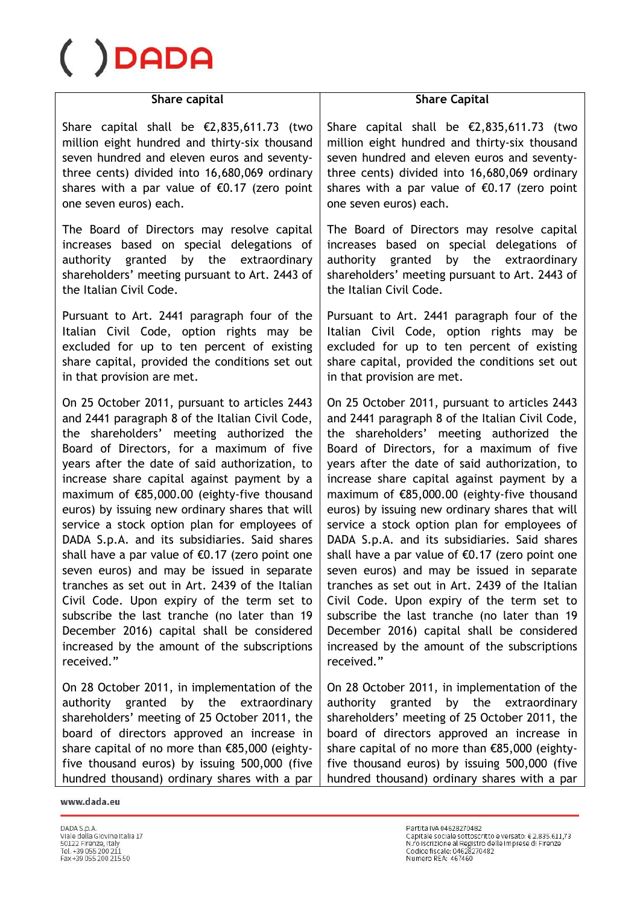## DADA

#### **Share capital**

Share capital shall be €2,835,611.73 (two million eight hundred and thirty-six thousand seven hundred and eleven euros and seventythree cents) divided into 16,680,069 ordinary shares with a par value of  $€0.17$  (zero point one seven euros) each.

The Board of Directors may resolve capital increases based on special delegations of authority granted by the extraordinary shareholders' meeting pursuant to Art. 2443 of the Italian Civil Code.

Pursuant to Art. 2441 paragraph four of the Italian Civil Code, option rights may be excluded for up to ten percent of existing share capital, provided the conditions set out in that provision are met.

On 25 October 2011, pursuant to articles 2443 and 2441 paragraph 8 of the Italian Civil Code, the shareholders' meeting authorized the Board of Directors, for a maximum of five years after the date of said authorization, to increase share capital against payment by a maximum of €85,000.00 (eighty-five thousand euros) by issuing new ordinary shares that will service a stock option plan for employees of DADA S.p.A. and its subsidiaries. Said shares shall have a par value of €0.17 (zero point one seven euros) and may be issued in separate tranches as set out in Art. 2439 of the Italian Civil Code. Upon expiry of the term set to subscribe the last tranche (no later than 19 December 2016) capital shall be considered increased by the amount of the subscriptions received."

On 28 October 2011, in implementation of the authority granted by the extraordinary shareholders' meeting of 25 October 2011, the board of directors approved an increase in share capital of no more than €85,000 (eightyfive thousand euros) by issuing 500,000 (five hundred thousand) ordinary shares with a par

#### **Share Capital**

Share capital shall be €2,835,611.73 (two million eight hundred and thirty-six thousand seven hundred and eleven euros and seventythree cents) divided into 16,680,069 ordinary shares with a par value of  $\epsilon$ 0.17 (zero point one seven euros) each.

The Board of Directors may resolve capital increases based on special delegations of authority granted by the extraordinary shareholders' meeting pursuant to Art. 2443 of the Italian Civil Code.

Pursuant to Art. 2441 paragraph four of the Italian Civil Code, option rights may be excluded for up to ten percent of existing share capital, provided the conditions set out in that provision are met.

On 25 October 2011, pursuant to articles 2443 and 2441 paragraph 8 of the Italian Civil Code, the shareholders' meeting authorized the Board of Directors, for a maximum of five years after the date of said authorization, to increase share capital against payment by a maximum of €85,000.00 (eighty-five thousand euros) by issuing new ordinary shares that will service a stock option plan for employees of DADA S.p.A. and its subsidiaries. Said shares shall have a par value of  $\epsilon$ 0.17 (zero point one seven euros) and may be issued in separate tranches as set out in Art. 2439 of the Italian Civil Code. Upon expiry of the term set to subscribe the last tranche (no later than 19 December 2016) capital shall be considered increased by the amount of the subscriptions received."

On 28 October 2011, in implementation of the authority granted by the extraordinary shareholders' meeting of 25 October 2011, the board of directors approved an increase in share capital of no more than €85,000 (eightyfive thousand euros) by issuing 500,000 (five hundred thousand) ordinary shares with a par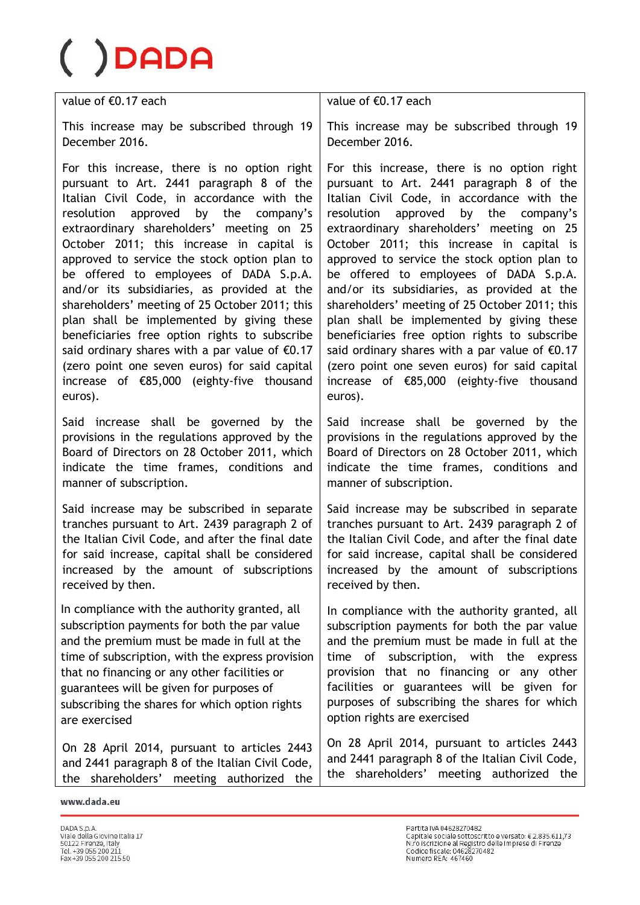value of €0.17 each

This increase may be subscribed through 19 December 2016.

For this increase, there is no option right pursuant to Art. 2441 paragraph 8 of the Italian Civil Code, in accordance with the resolution approved by the company's extraordinary shareholders' meeting on 25 October 2011; this increase in capital is approved to service the stock option plan to be offered to employees of DADA S.p.A. and/or its subsidiaries, as provided at the shareholders' meeting of 25 October 2011; this plan shall be implemented by giving these beneficiaries free option rights to subscribe said ordinary shares with a par value of €0.17 (zero point one seven euros) for said capital increase of €85,000 (eighty-five thousand euros).

Said increase shall be governed by the provisions in the regulations approved by the Board of Directors on 28 October 2011, which indicate the time frames, conditions and manner of subscription.

Said increase may be subscribed in separate tranches pursuant to Art. 2439 paragraph 2 of the Italian Civil Code, and after the final date for said increase, capital shall be considered increased by the amount of subscriptions received by then.

In compliance with the authority granted, all subscription payments for both the par value and the premium must be made in full at the time of subscription, with the express provision that no financing or any other facilities or guarantees will be given for purposes of subscribing the shares for which option rights are exercised

On 28 April 2014, pursuant to articles 2443 and 2441 paragraph 8 of the Italian Civil Code, the shareholders' meeting authorized the

value of €0.17 each

This increase may be subscribed through 19 December 2016.

For this increase, there is no option right pursuant to Art. 2441 paragraph 8 of the Italian Civil Code, in accordance with the resolution approved by the company's extraordinary shareholders' meeting on 25 October 2011; this increase in capital is approved to service the stock option plan to be offered to employees of DADA S.p.A. and/or its subsidiaries, as provided at the shareholders' meeting of 25 October 2011; this plan shall be implemented by giving these beneficiaries free option rights to subscribe said ordinary shares with a par value of €0.17 (zero point one seven euros) for said capital increase of €85,000 (eighty-five thousand euros).

Said increase shall be governed by the provisions in the regulations approved by the Board of Directors on 28 October 2011, which indicate the time frames, conditions and manner of subscription.

Said increase may be subscribed in separate tranches pursuant to Art. 2439 paragraph 2 of the Italian Civil Code, and after the final date for said increase, capital shall be considered increased by the amount of subscriptions received by then.

In compliance with the authority granted, all subscription payments for both the par value and the premium must be made in full at the time of subscription, with the express provision that no financing or any other facilities or guarantees will be given for purposes of subscribing the shares for which option rights are exercised

On 28 April 2014, pursuant to articles 2443 and 2441 paragraph 8 of the Italian Civil Code, the shareholders' meeting authorized the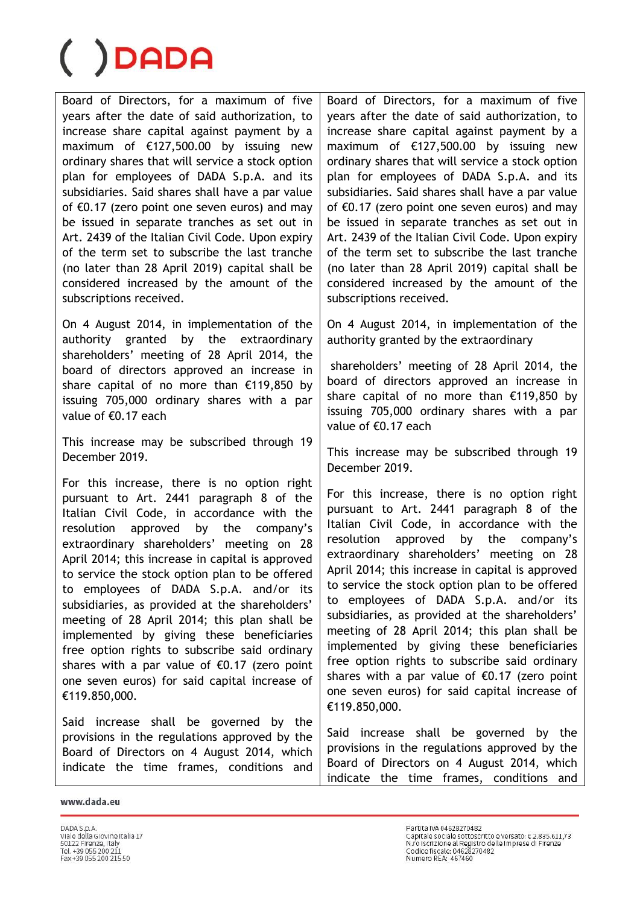Board of Directors, for a maximum of five years after the date of said authorization, to increase share capital against payment by a maximum of €127,500.00 by issuing new ordinary shares that will service a stock option plan for employees of DADA S.p.A. and its subsidiaries. Said shares shall have a par value of €0.17 (zero point one seven euros) and may be issued in separate tranches as set out in Art. 2439 of the Italian Civil Code. Upon expiry of the term set to subscribe the last tranche (no later than 28 April 2019) capital shall be considered increased by the amount of the subscriptions received.

On 4 August 2014, in implementation of the authority granted by the extraordinary shareholders' meeting of 28 April 2014, the board of directors approved an increase in share capital of no more than €119,850 by issuing 705,000 ordinary shares with a par value of €0.17 each

This increase may be subscribed through 19 December 2019.

For this increase, there is no option right pursuant to Art. 2441 paragraph 8 of the Italian Civil Code, in accordance with the resolution approved by the company's extraordinary shareholders' meeting on 28 April 2014; this increase in capital is approved to service the stock option plan to be offered to employees of DADA S.p.A. and/or its subsidiaries, as provided at the shareholders' meeting of 28 April 2014; this plan shall be implemented by giving these beneficiaries free option rights to subscribe said ordinary shares with a par value of €0.17 (zero point one seven euros) for said capital increase of €119.850,000.

Said increase shall be governed by the provisions in the regulations approved by the Board of Directors on 4 August 2014, which indicate the time frames, conditions and

Board of Directors, for a maximum of five years after the date of said authorization, to increase share capital against payment by a maximum of €127,500.00 by issuing new ordinary shares that will service a stock option plan for employees of DADA S.p.A. and its subsidiaries. Said shares shall have a par value of  $\epsilon$ 0.17 (zero point one seven euros) and may be issued in separate tranches as set out in Art. 2439 of the Italian Civil Code. Upon expiry of the term set to subscribe the last tranche (no later than 28 April 2019) capital shall be considered increased by the amount of the subscriptions received.

On 4 August 2014, in implementation of the authority granted by the extraordinary

shareholders' meeting of 28 April 2014, the board of directors approved an increase in share capital of no more than €119,850 by issuing 705,000 ordinary shares with a par value of €0.17 each

This increase may be subscribed through 19 December 2019.

For this increase, there is no option right pursuant to Art. 2441 paragraph 8 of the Italian Civil Code, in accordance with the resolution approved by the company's extraordinary shareholders' meeting on 28 April 2014; this increase in capital is approved to service the stock option plan to be offered to employees of DADA S.p.A. and/or its subsidiaries, as provided at the shareholders' meeting of 28 April 2014; this plan shall be implemented by giving these beneficiaries free option rights to subscribe said ordinary shares with a par value of  $\epsilon$ 0.17 (zero point one seven euros) for said capital increase of €119.850,000.

Said increase shall be governed by the provisions in the regulations approved by the Board of Directors on 4 August 2014, which indicate the time frames, conditions and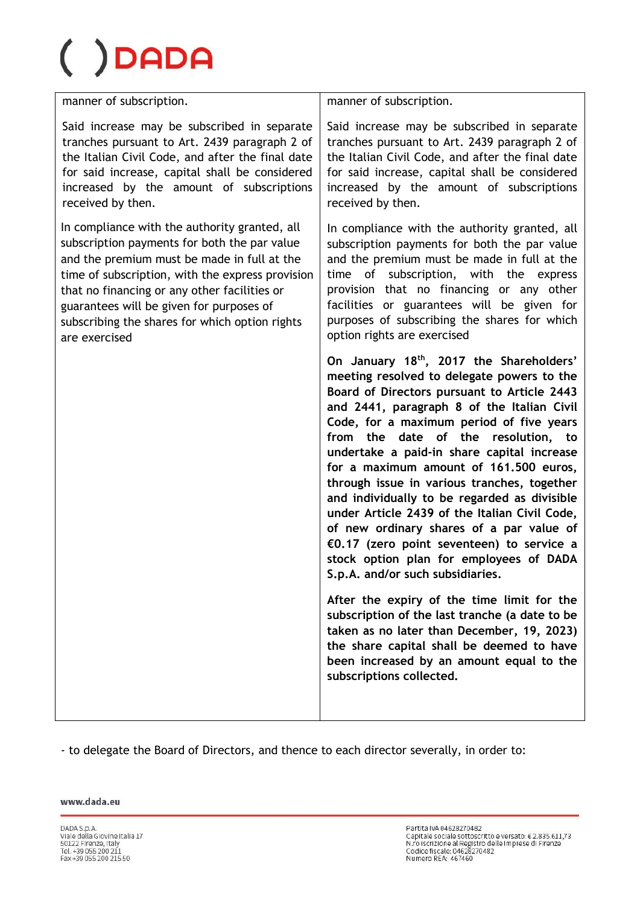# DADA

manner of subscription.

Said increase may be subscribed in separate tranches pursuant to Art. 2439 paragraph 2 of the Italian Civil Code, and after the final date for said increase, capital shall be considered increased by the amount of subscriptions received by then.

In compliance with the authority granted, all subscription payments for both the par value and the premium must be made in full at the time of subscription, with the express provision that no financing or any other facilities or guarantees will be given for purposes of subscribing the shares for which option rights are exercised

manner of subscription.

Said increase may be subscribed in separate tranches pursuant to Art. 2439 paragraph 2 of the Italian Civil Code, and after the final date for said increase, capital shall be considered increased by the amount of subscriptions received by then.

In compliance with the authority granted, all subscription payments for both the par value and the premium must be made in full at the time of subscription, with the express provision that no financing or any other facilities or guarantees will be given for purposes of subscribing the shares for which option rights are exercised

**On January 18th, 2017 the Shareholders' meeting resolved to delegate powers to the Board of Directors pursuant to Article 2443 and 2441, paragraph 8 of the Italian Civil Code, for a maximum period of five years from the date of the resolution, to undertake a paid-in share capital increase for a maximum amount of 161.500 euros, through issue in various tranches, together and individually to be regarded as divisible under Article 2439 of the Italian Civil Code, of new ordinary shares of a par value of €0.17 (zero point seventeen) to service a stock option plan for employees of DADA S.p.A. and/or such subsidiaries.** 

**After the expiry of the time limit for the subscription of the last tranche (a date to be taken as no later than December, 19, 2023) the share capital shall be deemed to have been increased by an amount equal to the subscriptions collected.**

- to delegate the Board of Directors, and thence to each director severally, in order to: